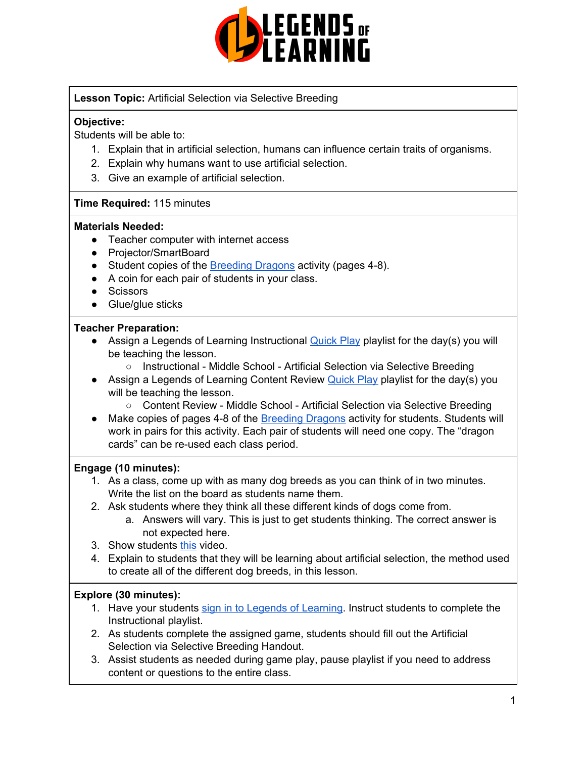

## **Lesson Topic:** Artificial Selection via Selective Breeding

## **Objective:**

Students will be able to:

- 1. Explain that in artificial selection, humans can influence certain traits of organisms.
- 2. Explain why humans want to use artificial selection.
- 3. Give an example of artificial selection.

### **Time Required:** 115 minutes

### **Materials Needed:**

- Teacher computer with internet access
- Projector/SmartBoard
- Student copies of the [Breeding](https://www2.ist.ac.at/fileadmin/user_upload/pdfs/EvoActivities/EvoCollectionIST_EN_Act6.pdf) Dragons activity (pages 4-8).
- A coin for each pair of students in your class.
- Scissors
- Glue/glue sticks

### **Teacher Preparation:**

- Assign a Legends of Learning Instructional [Quick](https://intercom.help/legends-of-learning/en/articles/2701866-assigning-a-quick-play-playlist) Play playlist for the day(s) you will be teaching the lesson.
	- Instructional Middle School Artificial Selection via Selective Breeding
- Assign a Legends of Learning Content Review [Quick](https://intercom.help/legends-of-learning/en/articles/2701866-assigning-a-quick-play-playlist) Play playlist for the day(s) you will be teaching the lesson.
	- Content Review Middle School Artificial Selection via Selective Breeding
- Make copies of pages 4-8 of the [Breeding](https://www2.ist.ac.at/fileadmin/user_upload/pdfs/EvoActivities/EvoCollectionIST_EN_Act6.pdf) Dragons activity for students. Students will work in pairs for this activity. Each pair of students will need one copy. The "dragon cards" can be re-used each class period.

### **Engage (10 minutes):**

- 1. As a class, come up with as many dog breeds as you can think of in two minutes. Write the list on the board as students name them.
- 2. Ask students where they think all these different kinds of dogs come from.
	- a. Answers will vary. This is just to get students thinking. The correct answer is not expected here.
- 3. Show students [this](https://www.youtube.com/watch?time_continue=112&v=XI41M2ruIVI&feature=emb_logo) video.
- 4. Explain to students that they will be learning about artificial selection, the method used to create all of the different dog breeds, in this lesson.

## **Explore (30 minutes):**

- 1. Have your students sign in to Legends of [Learning](https://intercom.help/legends-of-learning/en/articles/2154920-students-joining-a-playlist). Instruct students to complete the Instructional playlist.
- 2. As students complete the assigned game, students should fill out the Artificial Selection via Selective Breeding Handout.
- 3. Assist students as needed during game play, pause playlist if you need to address content or questions to the entire class.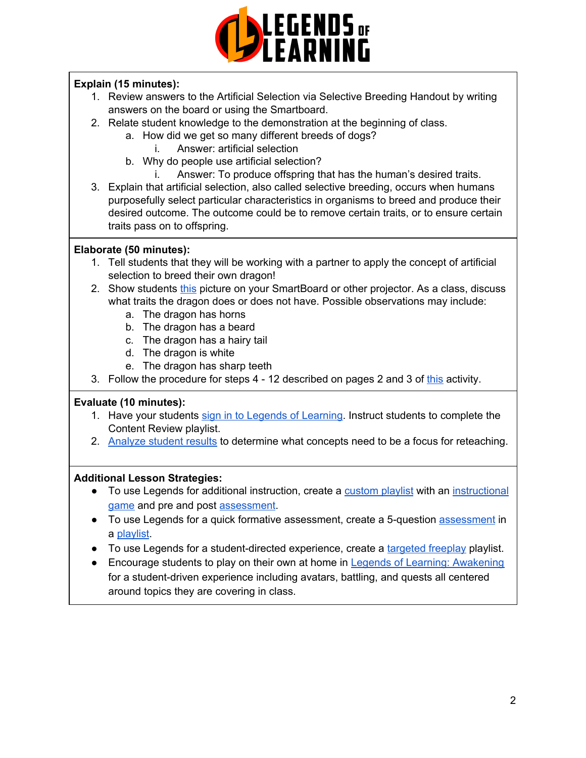

## **Explain (15 minutes):**

- 1. Review answers to the Artificial Selection via Selective Breeding Handout by writing answers on the board or using the Smartboard.
- 2. Relate student knowledge to the demonstration at the beginning of class.
	- a. How did we get so many different breeds of dogs?
		- i. Answer: artificial selection
	- b. Why do people use artificial selection?
		- i. Answer: To produce offspring that has the human's desired traits.
- 3. Explain that artificial selection, also called selective breeding, occurs when humans purposefully select particular characteristics in organisms to breed and produce their desired outcome. The outcome could be to remove certain traits, or to ensure certain traits pass on to offspring.

## **Elaborate (50 minutes):**

- 1. Tell students that they will be working with a partner to apply the concept of artificial selection to breed their own dragon!
- 2. Show students [this](https://sites.psu.edu/mythologicalcreatures/files/2015/03/dragon-1024x576.jpg) picture on your SmartBoard or other projector. As a class, discuss what traits the dragon does or does not have. Possible observations may include:
	- a. The dragon has horns
	- b. The dragon has a beard
	- c. The dragon has a hairy tail
	- d. The dragon is white
	- e. The dragon has sharp teeth
- 3. Follow the procedure for steps 4 12 described on pages 2 and 3 of [this](https://www2.ist.ac.at/fileadmin/user_upload/pdfs/EvoActivities/EvoCollectionIST_EN_Act6.pdf) activity.

## **Evaluate (10 minutes):**

- 1. Have your students sign in to Legends of [Learning](https://intercom.help/legends-of-learning/en/articles/2154920-students-joining-a-playlist). Instruct students to complete the Content Review playlist.
- 2. [Analyze](https://intercom.help/legends-of-learning/en/articles/2154918-tracking-student-progress-and-performance) student results to determine what concepts need to be a focus for reteaching.

## **Additional Lesson Strategies:**

- To use Legends for additional instruction, create a [custom](https://intercom.help/legends-of-learning/en/articles/2154910-creating-a-playlist) playlist with an [instructional](https://intercom.help/legends-of-learning/en/articles/3505828-types-of-games) [game](https://intercom.help/legends-of-learning/en/articles/3505828-types-of-games) and pre and post [assessment](https://intercom.help/legends-of-learning/en/articles/2154913-adding-assessments-to-a-playlist).
- To use Legends for a quick formative [assessment](https://intercom.help/legends-of-learning/en/articles/2154913-adding-assessments-to-a-playlist), create a 5-question assessment in a [playlist](https://intercom.help/legends-of-learning/en/articles/2154910-creating-a-playlist).
- To use Legends for a student-directed experience, create a [targeted](https://intercom.help/legends-of-learning/en/articles/3340814-targeted-freeplay) freeplay playlist.
- Encourage students to play on their own at home in Legends of Learning: [Awakening](https://intercom.help/legends-of-learning/en/articles/2425490-legends-of-learning-awakening) for a student-driven experience including avatars, battling, and quests all centered around topics they are covering in class.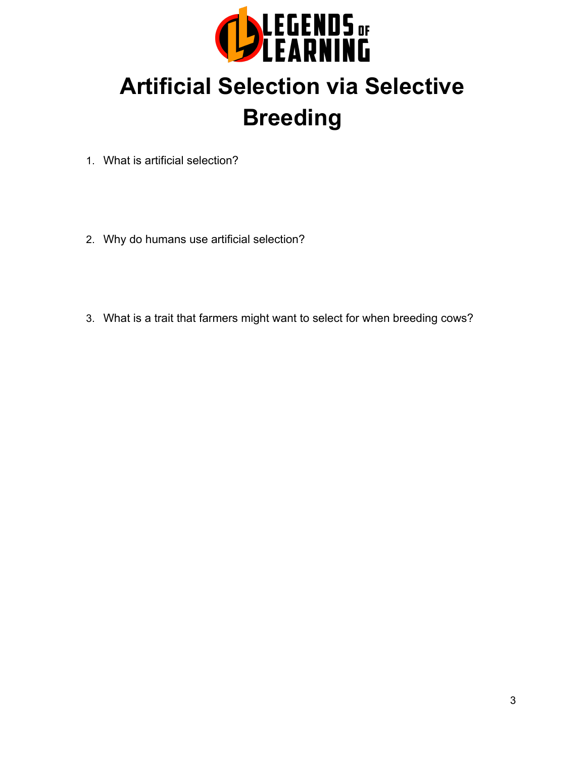

## **Artificial Selection via Selective Breeding**

- 1. What is artificial selection?
- 2. Why do humans use artificial selection?
- 3. What is a trait that farmers might want to select for when breeding cows?